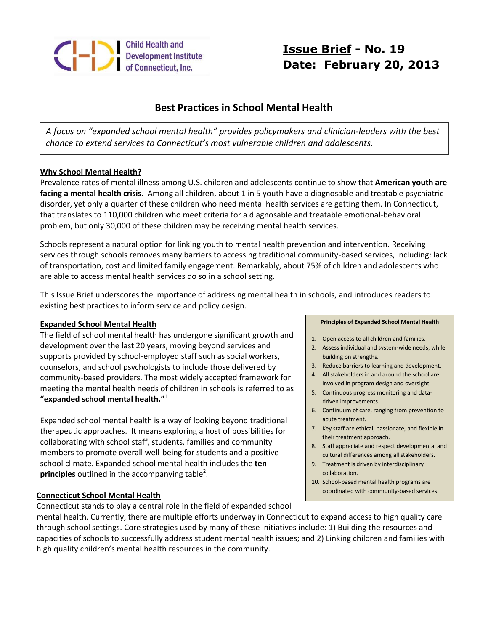

# **Issue Brief - No. 19 Date: February 20, 2013**

## **Best Practices in School Mental Health**

*A focus on "expanded school mental health" provides policymakers and clinician-leaders with the best chance to extend services to Connecticut's most vulnerable children and adolescents.*

## **Why School Mental Health?**

Prevalence rates of mental illness among U.S. children and adolescents continue to show that **American youth are facing a mental health crisis**. Among all children, about 1 in 5 youth have a diagnosable and treatable psychiatric disorder, yet only a quarter of these children who need mental health services are getting them. In Connecticut, that translates to 110,000 children who meet criteria for a diagnosable and treatable emotional-behavioral problem, but only 30,000 of these children may be receiving mental health services.

Schools represent a natural option for linking youth to mental health prevention and intervention. Receiving services through schools removes many barriers to accessing traditional community-based services, including: lack of transportation, cost and limited family engagement. Remarkably, about 75% of children and adolescents who are able to access mental health services do so in a school setting.

This Issue Brief underscores the importance of addressing mental health in schools, and introduces readers to existing best practices to inform service and policy design.

## **Expanded School Mental Health**

The field of school mental health has undergone significant growth and development over the last 20 years, moving beyond services and supports provided by school-employed staff such as social workers, counselors, and school psychologists to include those delivered by community-based providers. The most widely accepted framework for meeting the mental health needs of children in schools is referred to as **"expanded school mental health."** 1

Expanded school mental health is a way of looking beyond traditional therapeutic approaches. It means exploring a host of possibilities for collaborating with school staff, students, families and community members to promote overall well-being for students and a positive school climate. Expanded school mental health includes the **ten**  principles outlined in the accompanying table<sup>2</sup>.

## **Connecticut School Mental Health**

Connecticut stands to play a central role in the field of expanded school

#### **Principles of Expanded School Mental Health**

- 1. Open access to all children and families.
- 2. Assess individual and system-wide needs, while building on strengths.
- 3. Reduce barriers to learning and development.
- 4. All stakeholders in and around the school are involved in program design and oversight.
- 5. Continuous progress monitoring and datadriven improvements.
- 6. Continuum of care, ranging from prevention to acute treatment.
- 7. Key staff are ethical, passionate, and flexible in their treatment approach.
- 8. Staff appreciate and respect developmental and cultural differences among all stakeholders.
- 9. Treatment is driven by interdisciplinary collaboration.
- 10. School-based mental health programs are coordinated with community-based services.

mental health. Currently, there are multiple efforts underway in Connecticut to expand access to high quality care through school settings. Core strategies used by many of these initiatives include: 1) Building the resources and capacities of schools to successfully address student mental health issues; and 2) Linking children and families with high quality children's mental health resources in the community.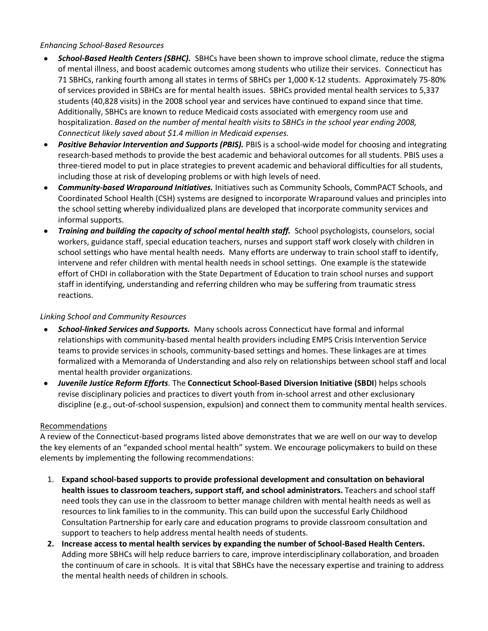## *Enhancing School-Based Resources*

- *School-Based Health Centers (SBHC).* SBHCs have been shown to improve school climate, reduce the stigma of mental illness, and boost academic outcomes among students who utilize their services. Connecticut has 71 SBHCs, ranking fourth among all states in terms of SBHCs per 1,000 K-12 students. Approximately 75-80% of services provided in SBHCs are for mental health issues. SBHCs provided mental health services to 5,337 students (40,828 visits) in the 2008 school year and services have continued to expand since that time. Additionally, SBHCs are known to reduce Medicaid costs associated with emergency room use and hospitalization. *Based on the number of mental health visits to SBHCs in the school year ending 2008, Connecticut likely saved about \$1.4 million in Medicaid expenses.*
- *Positive Behavior Intervention and Supports (PBIS).* PBIS is a school-wide model for choosing and integrating  $\bullet$ research-based methods to provide the best academic and behavioral outcomes for all students. PBIS uses a three-tiered model to put in place strategies to prevent academic and behavioral difficulties for all students, including those at risk of developing problems or with high levels of need.
- *Community-based Wraparound Initiatives.* Initiatives such as Community Schools, CommPACT Schools, and  $\bullet$ Coordinated School Health (CSH) systems are designed to incorporate Wraparound values and principles into the school setting whereby individualized plans are developed that incorporate community services and informal supports.
- $\bullet$ *Training and building the capacity of school mental health staff.* School psychologists, counselors, social workers, guidance staff, special education teachers, nurses and support staff work closely with children in school settings who have mental health needs. Many efforts are underway to train school staff to identify, intervene and refer children with mental health needs in school settings. One example is the statewide effort of CHDI in collaboration with the State Department of Education to train school nurses and support staff in identifying, understanding and referring children who may be suffering from traumatic stress reactions.

## *Linking School and Community Resources*

- *School-linked Services and Supports.* Many schools across Connecticut have formal and informal relationships with community-based mental health providers including EMPS Crisis Intervention Service teams to provide services in schools, community-based settings and homes. These linkages are at times formalized with a Memoranda of Understanding and also rely on relationships between school staff and local mental health provider organizations.
- *Juvenile Justice Reform Efforts.* The **Connecticut School-Based Diversion Initiative (SBDI**) helps schools  $\bullet$ revise disciplinary policies and practices to divert youth from in-school arrest and other exclusionary discipline (e.g., out-of-school suspension, expulsion) and connect them to community mental health services.

### Recommendations

A review of the Connecticut-based programs listed above demonstrates that we are well on our way to develop the key elements of an "expanded school mental health" system. We encourage policymakers to build on these elements by implementing the following recommendations:

- 1. **Expand school-based supports to provide professional development and consultation on behavioral health issues to classroom teachers, support staff, and school administrators.** Teachers and school staff need tools they can use in the classroom to better manage children with mental health needs as well as resources to link families to in the community. This can build upon the successful Early Childhood Consultation Partnership for early care and education programs to provide classroom consultation and support to teachers to help address mental health needs of students.
- **2. Increase access to mental health services by expanding the number of School-Based Health Centers.**  Adding more SBHCs will help reduce barriers to care, improve interdisciplinary collaboration, and broaden the continuum of care in schools. It is vital that SBHCs have the necessary expertise and training to address the mental health needs of children in schools.